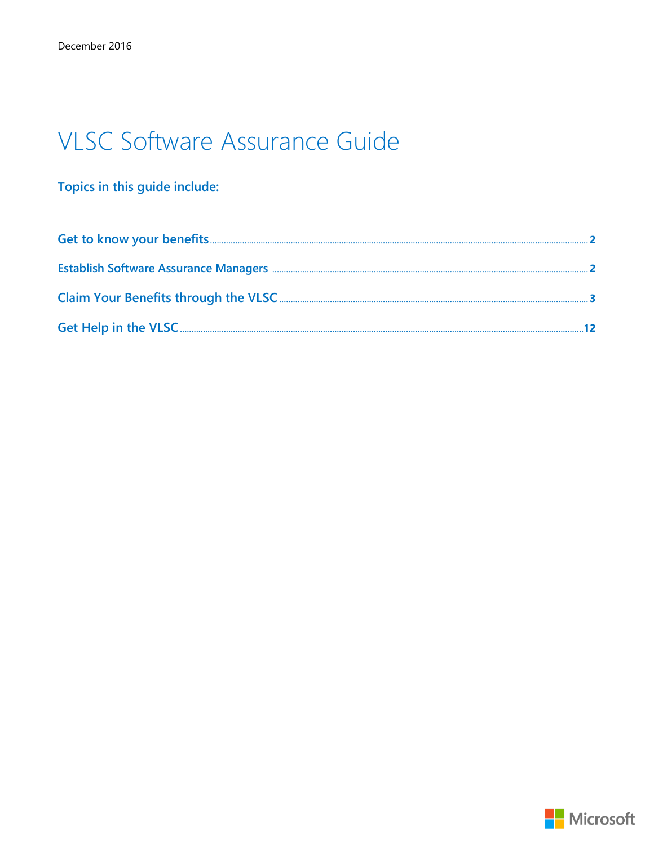## **VLSC Software Assurance Guide**

## Topics in this guide include:

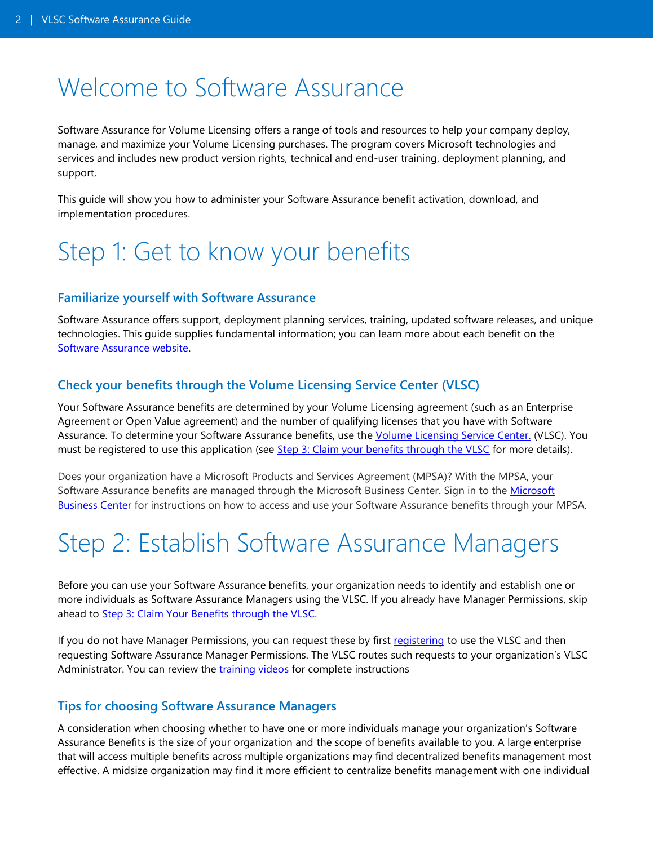## Welcome to Software Assurance

Software Assurance for Volume Licensing offers a range of tools and resources to help your company deploy, manage, and maximize your Volume Licensing purchases. The program covers Microsoft technologies and services and includes new product version rights, technical and end-user training, deployment planning, and support.

This guide will show you how to administer your Software Assurance benefit activation, download, and implementation procedures.

## <span id="page-1-0"></span>Step 1: Get to know your benefits

### **Familiarize yourself with Software Assurance**

Software Assurance offers support, deployment planning services, training, updated software releases, and unique technologies. This guide supplies fundamental information; you can learn more about each benefit on the [Software Assurance website.](http://www.microsoft.com/licensing/software-assurance/default.aspx)

### **Check your benefits through the Volume Licensing Service Center (VLSC)**

Your Software Assurance benefits are determined by your Volume Licensing agreement (such as an Enterprise Agreement or Open Value agreement) and the number of qualifying licenses that you have with Software Assurance. To determine your Software Assurance benefits, use the [Volume Licensing Service Center.](https://www.microsoft.com/Licensing/servicecenter/default.aspx) (VLSC). You must be registered to use this application (see Step 3: [Claim your benefits through the VLSC](#page-2-0) for more details).

Does your organization have a Microsoft Products and Services Agreement (MPSA)? With the MPSA, your Software Assurance benefits are managed through the [Microsoft](https://licensing.microsoft.com/Customer/) Business Center. Sign in to the Microsoft [Business Center](https://licensing.microsoft.com/Customer/) for instructions on how to access and use your Software Assurance benefits through your MPSA.

## <span id="page-1-1"></span>Step 2: Establish Software Assurance Managers

Before you can use your Software Assurance benefits, your organization needs to identify and establish one or more individuals as Software Assurance Managers using the VLSC. If you already have Manager Permissions, skip ahead to **Step 3: Claim Your Benefits through the VLSC**.

If you do not have Manager Permissions, you can request these by first [registering](#page-2-1) to use the VLSC and then requesting Software Assurance Manager Permissions. The VLSC routes such requests to your organization's VLSC Administrator. You can review the [training videos](http://www.microsoft.com/licensing/existing-customers/vlsc-training-and-resources.aspx#tab=2) for complete instructions

#### **Tips for choosing Software Assurance Managers**

A consideration when choosing whether to have one or more individuals manage your organization's Software Assurance Benefits is the size of your organization and the scope of benefits available to you. A large enterprise that will access multiple benefits across multiple organizations may find decentralized benefits management most effective. A midsize organization may find it more efficient to centralize benefits management with one individual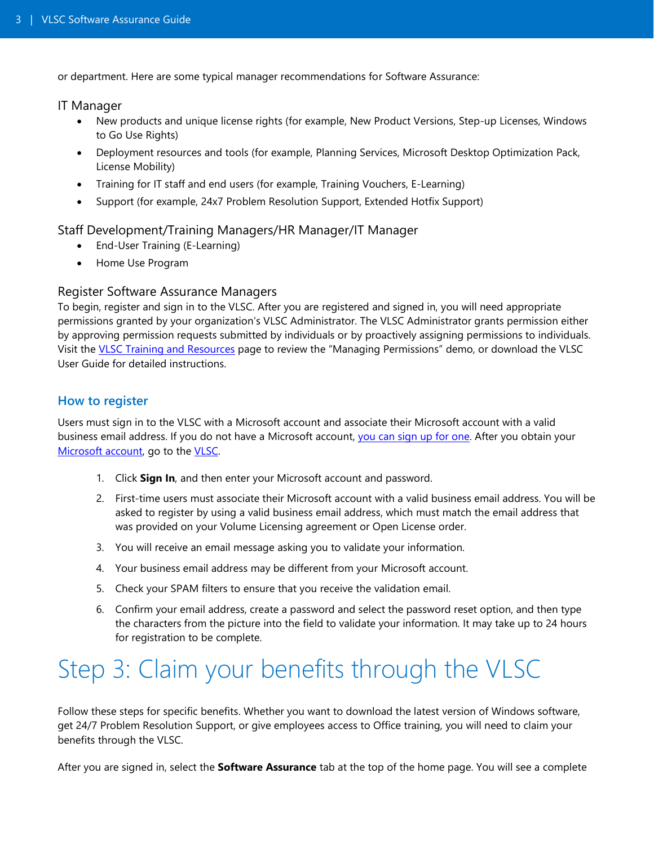or department. Here are some typical manager recommendations for Software Assurance:

#### IT Manager

- New products and unique license rights (for example, New Product Versions, Step-up Licenses, Windows to Go Use Rights)
- Deployment resources and tools (for example, Planning Services, Microsoft Desktop Optimization Pack, License Mobility)
- Training for IT staff and end users (for example, Training Vouchers, E-Learning)
- Support (for example, 24x7 Problem Resolution Support, Extended Hotfix Support)

#### Staff Development/Training Managers/HR Manager/IT Manager

- End-User Training (E-Learning)
- Home Use Program

#### Register Software Assurance Managers

To begin, register and sign in to the VLSC. After you are registered and signed in, you will need appropriate permissions granted by your organization's VLSC Administrator. The VLSC Administrator grants permission either by approving permission requests submitted by individuals or by proactively assigning permissions to individuals. Visit the [VLSC Training and Resources](http://www.microsoft.com/licensing/existing-customers/vlsc-training-and-resources.aspx) page to review the "Managing Permissions" demo, or download the VLSC User Guide for detailed instructions.

#### <span id="page-2-1"></span>**How to register**

Users must sign in to the VLSC with a Microsoft account and associate their Microsoft account with a valid business email address. If you do not have a Microsoft account, [you can sign up](https://login.live.com/) for one. After you obtain your [Microsoft account,](https://signup.live.com/signup.aspx?wa=wsignin1.0&rpsnv=12&ct=1416250228&rver=6.5.6510.0&wp=SAPI&wreply=https:%2F%2Faccount.live.com%2F&id=38936&bk=1416250228&uiflavor=web&uaid=d24483c197cf46bb813f674c0ddaa127&mkt=EN-US&lc=1033&lic=1) go to the VLSC.

- 1. Click **Sign In**, and then enter your Microsoft account and password.
- 2. First-time users must associate their Microsoft account with a valid business email address. You will be asked to register by using a valid business email address, which must match the email address that was provided on your Volume Licensing agreement or Open License order.
- 3. You will receive an email message asking you to validate your information.
- 4. Your business email address may be different from your Microsoft account.
- 5. Check your SPAM filters to ensure that you receive the validation email.
- 6. Confirm your email address, create a password and select the password reset option, and then type the characters from the picture into the field to validate your information. It may take up to 24 hours for registration to be complete.

# <span id="page-2-0"></span>Step 3: Claim your benefits through the VLSC

Follow these steps for specific benefits. Whether you want to download the latest version of Windows software, get 24/7 Problem Resolution Support, or give employees access to Office training, you will need to claim your benefits through the VLSC.

After you are signed in, select the **Software Assurance** tab at the top of the home page. You will see a complete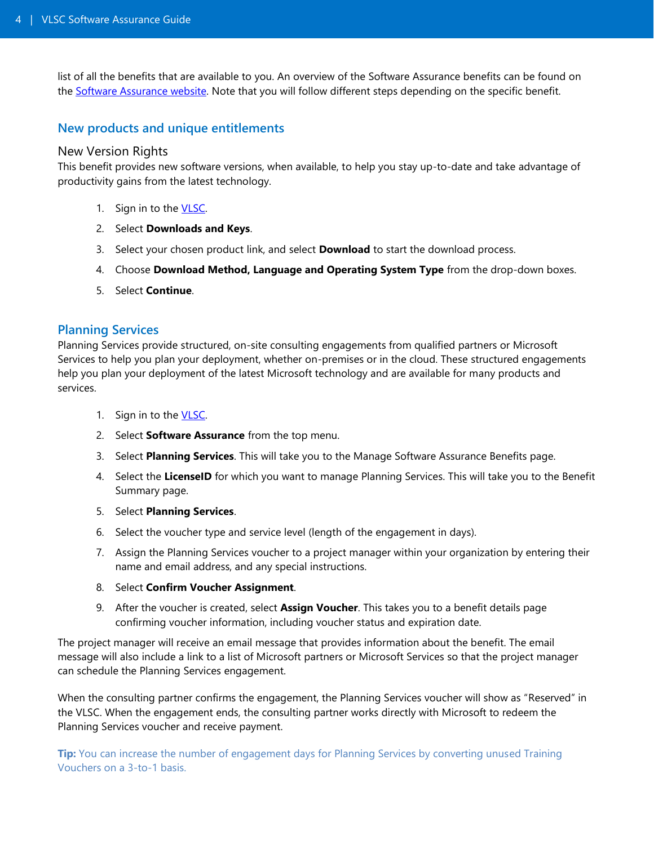list of all the benefits that are available to you. An overview of the Software Assurance benefits can be found on the [Software Assurance website.](http://www.microsoft.com/licensing/software-assurance/) Note that you will follow different steps depending on the specific benefit.

#### **New products and unique entitlements**

#### New Version Rights

This benefit provides new software versions, when available, to help you stay up-to-date and take advantage of productivity gains from the latest technology.

- 1. Sign in to the [VLSC.](https://www.microsoft.com/licensing/servicecenter/default.aspx)
- 2. Select **Downloads and Keys**.
- 3. Select your chosen product link, and select **Download** to start the download process.
- 4. Choose **Download Method, Language and Operating System Type** from the drop-down boxes.
- 5. Select **Continue**.

#### <span id="page-3-0"></span>**Planning Services**

Planning Services provide structured, on-site consulting engagements from qualified partners or Microsoft Services to help you plan your deployment, whether on-premises or in the cloud. These structured engagements help you plan your deployment of the latest Microsoft technology and are available for many products and services.

- 1. Sign in to the [VLSC.](https://www.microsoft.com/licensing/servicecenter/default.aspx)
- 2. Select **Software Assurance** from the top menu.
- 3. Select **Planning Services**. This will take you to the Manage Software Assurance Benefits page.
- 4. Select the **LicenseID** for which you want to manage Planning Services. This will take you to the Benefit Summary page.
- 5. Select **Planning Services**.
- 6. Select the voucher type and service level (length of the engagement in days).
- 7. Assign the Planning Services voucher to a project manager within your organization by entering their name and email address, and any special instructions.
- 8. Select **Confirm Voucher Assignment**.
- 9. After the voucher is created, select **Assign Voucher**. This takes you to a benefit details page confirming voucher information, including voucher status and expiration date.

The project manager will receive an email message that provides information about the benefit. The email message will also include a link to a list of Microsoft partners or Microsoft Services so that the project manager can schedule the Planning Services engagement.

When the consulting partner confirms the engagement, the Planning Services voucher will show as "Reserved" in the VLSC. When the engagement ends, the consulting partner works directly with Microsoft to redeem the Planning Services voucher and receive payment.

**Tip:** You can increase the number of engagement days for Planning Services by converting unused Training Vouchers on a 3-to-1 basis.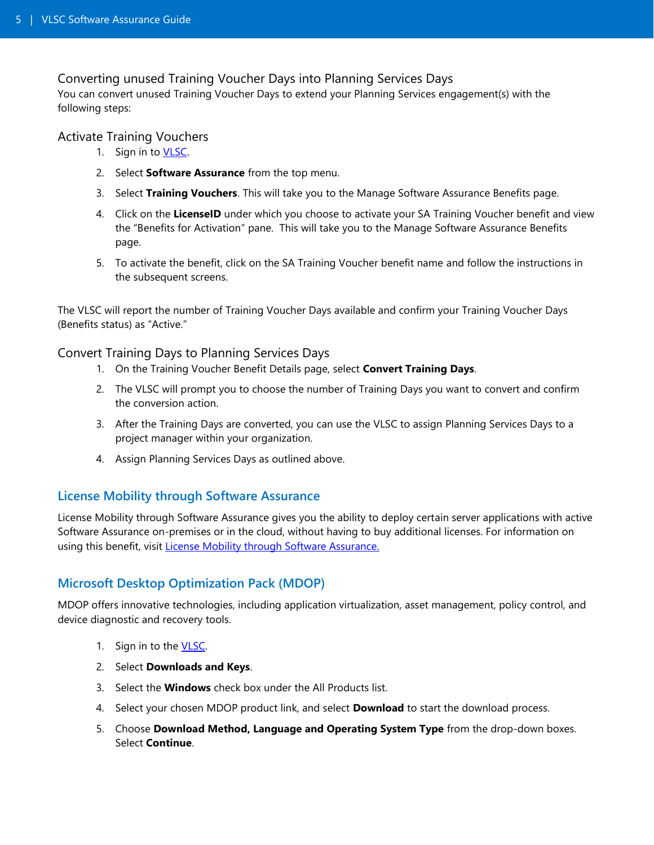Converting unused Training Voucher Days into Planning Services Days

You can convert unused Training Voucher Days to extend your Planning Services engagement(s) with the following steps:

### Activate Training Vouchers

- 1. Sign in to **VLSC**.
- 2. Select **Software Assurance** from the top menu.
- 3. Select **Training Vouchers**. This will take you to the Manage Software Assurance Benefits page.
- 4. Click on the **LicenseID** under which you choose to activate your SA Training Voucher benefit and view the "Benefits for Activation" pane. This will take you to the Manage Software Assurance Benefits page.
- 5. To activate the benefit, click on the SA Training Voucher benefit name and follow the instructions in the subsequent screens.

The VLSC will report the number of Training Voucher Days available and confirm your Training Voucher Days (Benefits status) as "Active."

#### Convert Training Days to Planning Services Days

- 1. On the Training Voucher Benefit Details page, select **Convert Training Days**.
- 2. The VLSC will prompt you to choose the number of Training Days you want to convert and confirm the conversion action.
- 3. After the Training Days are converted, you can use the VLSC to assign Planning Services Days to a project manager within your organization.
- 4. Assign Planning Services Days as outlined above.

## **License Mobility through Software Assurance**

License Mobility through Software Assurance gives you the ability to deploy certain server applications with active Software Assurance on-premises or in the cloud, without having to buy additional licenses. For information on using this benefit, visit [License Mobility through Software Assurance.](http://www.microsoft.com/licensing/software-assurance/license-mobility.aspx#tab=1)

## **Microsoft Desktop Optimization Pack (MDOP)**

MDOP offers innovative technologies, including application virtualization, asset management, policy control, and device diagnostic and recovery tools.

- 1. Sign in to the **VLSC**.
- 2. Select **Downloads and Keys**.
- 3. Select the **Windows** check box under the All Products list.
- 4. Select your chosen MDOP product link, and select **Download** to start the download process.
- 5. Choose **Download Method, Language and Operating System Type** from the drop-down boxes. Select **Continue**.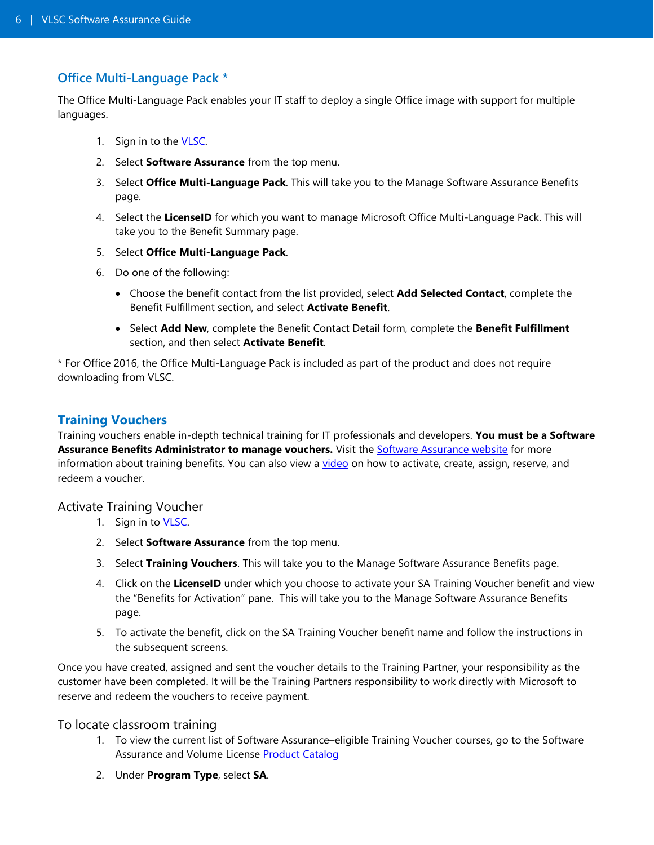## **Office Multi-Language Pack \***

The Office Multi-Language Pack enables your IT staff to deploy a single Office image with support for multiple languages.

- 1. Sign in to the **VLSC**.
- 2. Select **Software Assurance** from the top menu.
- 3. Select **Office Multi-Language Pack**. This will take you to the Manage Software Assurance Benefits page.
- 4. Select the **LicenseID** for which you want to manage Microsoft Office Multi-Language Pack. This will take you to the Benefit Summary page.
- 5. Select **Office Multi-Language Pack**.
- 6. Do one of the following:
	- Choose the benefit contact from the list provided, select **Add Selected Contact**, complete the Benefit Fulfillment section, and select **Activate Benefit**.
	- Select **Add New**, complete the Benefit Contact Detail form, complete the **Benefit Fulfillment** section, and then select **Activate Benefit**.

\* For Office 2016, the Office Multi-Language Pack is included as part of the product and does not require downloading from VLSC.

### **Training Vouchers**

Training vouchers enable in-depth technical training for IT professionals and developers. **You must be a Software Assurance Benefits Administrator to manage vouchers.** Visit the [Software Assurance website](http://www.microsoft.com/licensing/software-assurance/by-benefits.aspx#tab=2) for more information about training benefits. You can also view a [video](http://www.microsoft.com/learning/_silverlight/sa/satv/default.html) on how to activate, create, assign, reserve, and redeem a voucher.

#### Activate Training Voucher

- 1. Sign in to **VLSC**.
- 2. Select **Software Assurance** from the top menu.
- 3. Select **Training Vouchers**. This will take you to the Manage Software Assurance Benefits page.
- 4. Click on the **LicenseID** under which you choose to activate your SA Training Voucher benefit and view the "Benefits for Activation" pane. This will take you to the Manage Software Assurance Benefits page.
- 5. To activate the benefit, click on the SA Training Voucher benefit name and follow the instructions in the subsequent screens.

Once you have created, assigned and sent the voucher details to the Training Partner, your responsibility as the customer have been completed. It will be the Training Partners responsibility to work directly with Microsoft to reserve and redeem the vouchers to receive payment.

#### To locate classroom training

- 1. To view the current list of Software Assurance–eligible Training Voucher courses, go to the Software Assurance and Volume License [Product Catalog](http://www.microsoft.com/learning/sa-vl-catalog/savldefault.aspx)
- 2. Under **Program Type**, select **SA**.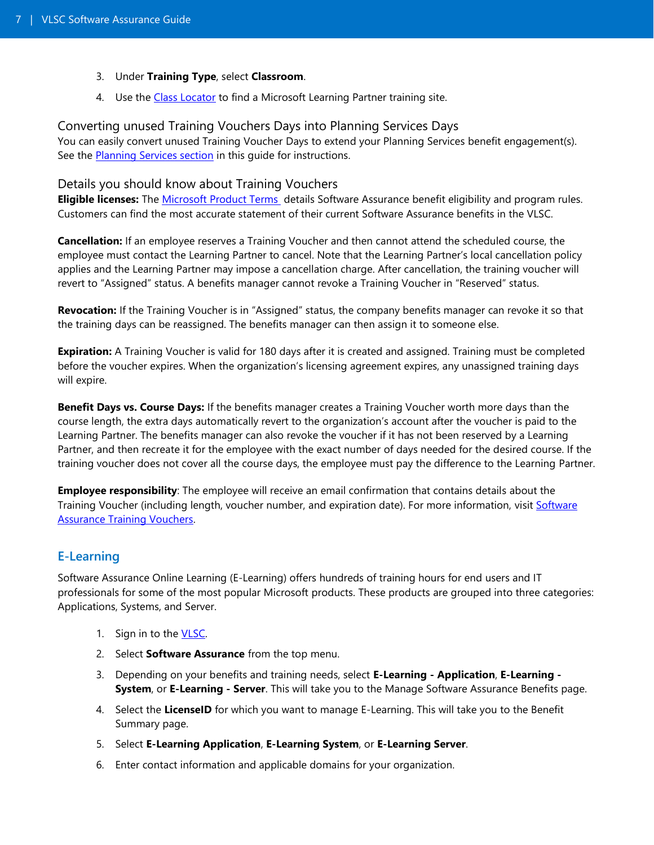- 3. Under **Training Type**, select **Classroom**.
- 4. Use the [Class Locator](https://www.microsoft.com/learning/en-us/find-partner.aspx) to find a Microsoft Learning Partner training site.

#### Converting unused Training Vouchers Days into Planning Services Days

You can easily convert unused Training Voucher Days to extend your Planning Services benefit engagement(s). See the [Planning Services section](#page-3-0) in this guide for instructions.

#### Details you should know about Training Vouchers

**Eligible licenses:** The [Microsoft Product Terms](http://www.microsoft.com/licensing/products/products.aspx#tab=2) details Software Assurance benefit eligibility and program rules. Customers can find the most accurate statement of their current Software Assurance benefits in the VLSC.

**Cancellation:** If an employee reserves a Training Voucher and then cannot attend the scheduled course, the employee must contact the Learning Partner to cancel. Note that the Learning Partner's local cancellation policy applies and the Learning Partner may impose a cancellation charge. After cancellation, the training voucher will revert to "Assigned" status. A benefits manager cannot revoke a Training Voucher in "Reserved" status.

**Revocation:** If the Training Voucher is in "Assigned" status, the company benefits manager can revoke it so that the training days can be reassigned. The benefits manager can then assign it to someone else.

**Expiration:** A Training Voucher is valid for 180 days after it is created and assigned. Training must be completed before the voucher expires. When the organization's licensing agreement expires, any unassigned training days will expire.

**Benefit Days vs. Course Days:** If the benefits manager creates a Training Voucher worth more days than the course length, the extra days automatically revert to the organization's account after the voucher is paid to the Learning Partner. The benefits manager can also revoke the voucher if it has not been reserved by a Learning Partner, and then recreate it for the employee with the exact number of days needed for the desired course. If the training voucher does not cover all the course days, the employee must pay the difference to the Learning Partner.

**Employee responsibility**: The employee will receive an email confirmation that contains details about the Training Voucher (including length, voucher number, and expiration date). For more information, visit [Software](https://www.microsoft.com/learning/en-us/software-assurance-benefits.aspx)  [Assurance Training Vouchers.](https://www.microsoft.com/learning/en-us/software-assurance-benefits.aspx)

#### **E-Learning**

Software Assurance Online Learning (E-Learning) offers hundreds of training hours for end users and IT professionals for some of the most popular Microsoft products. These products are grouped into three categories: Applications, Systems, and Server.

- 1. Sign in to the **VLSC**.
- 2. Select **Software Assurance** from the top menu.
- 3. Depending on your benefits and training needs, select **E-Learning - Application**, **E-Learning - System**, or **E-Learning - Server**. This will take you to the Manage Software Assurance Benefits page.
- 4. Select the **LicenseID** for which you want to manage E-Learning. This will take you to the Benefit Summary page.
- 5. Select **E-Learning Application**, **E-Learning System**, or **E-Learning Server**.
- 6. Enter contact information and applicable domains for your organization.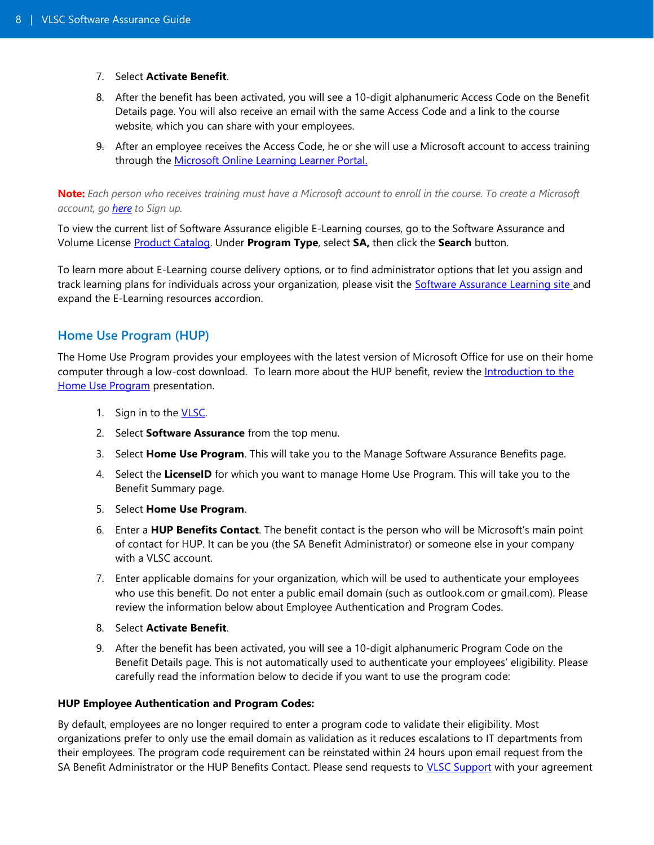#### 7. Select **Activate Benefit**.

- 8. After the benefit has been activated, you will see a 10-digit alphanumeric Access Code on the Benefit Details page. You will also receive an email with the same Access Code and a link to the course website, which you can share with your employees.
- 9. After an employee receives the Access Code, he or she will use a Microsoft account to access training through the **Microsoft Online Learning Learner Portal.**

**Note:** *Each person who receives training must have a Microsoft account to enroll in the course. To create a Microsoft account, go [here](https://login.live.com/) to Sign up.* 

To view the current list of Software Assurance eligible E-Learning courses, go to the Software Assurance and Volume License [Product Catalog.](http://www.microsoft.com/learning/sa-vl-catalog/savldefault.aspx) Under **Program Type**, select **SA,** then click the **Search** button.

To learn more about E-Learning course delivery options, or to find administrator options that let you assign and track learning plans for individuals across your organization, please visit the **Software Assurance Learning site** and expand the E-Learning resources accordion.

### **Home Use Program (HUP)**

The Home Use Program provides your employees with the latest version of Microsoft Office for use on their home computer through a low-cost download. To learn more about the HUP benefit, review the [Introduction to the](https://marketing.microsofthup.com/)  [Home Use Program](https://marketing.microsofthup.com/) presentation.

- 1. Sign in to the [VLSC.](https://www.microsoft.com/licensing/servicecenter/default.aspx)
- 2. Select **Software Assurance** from the top menu.
- 3. Select **Home Use Program**. This will take you to the Manage Software Assurance Benefits page.
- 4. Select the **LicenseID** for which you want to manage Home Use Program. This will take you to the Benefit Summary page.
- 5. Select **Home Use Program**.
- 6. Enter a **HUP Benefits Contact**. The benefit contact is the person who will be Microsoft's main point of contact for HUP. It can be you (the SA Benefit Administrator) or someone else in your company with a VLSC account.
- 7. Enter applicable domains for your organization, which will be used to authenticate your employees who use this benefit. Do not enter a public email domain (such as outlook.com or gmail.com). Please review the information below about Employee Authentication and Program Codes.
- 8. Select **Activate Benefit**.
- 9. After the benefit has been activated, you will see a 10-digit alphanumeric Program Code on the Benefit Details page. This is not automatically used to authenticate your employees' eligibility. Please carefully read the information below to decide if you want to use the program code:

#### **HUP Employee Authentication and Program Codes:**

By default, employees are no longer required to enter a program code to validate their eligibility. Most organizations prefer to only use the email domain as validation as it reduces escalations to IT departments from their employees. The program code requirement can be reinstated within 24 hours upon email request from the SA Benefit Administrator or the HUP Benefits Contact. Please send requests to [VLSC Support](https://www.microsoft.com/Licensing/servicecenter/Help/Contact.aspx) with your agreement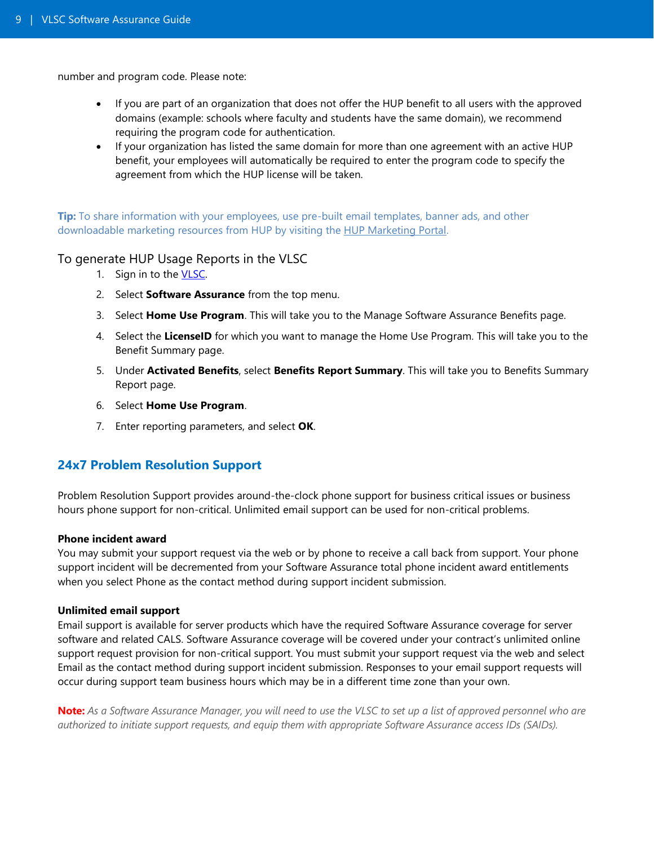number and program code. Please note:

- If you are part of an organization that does not offer the HUP benefit to all users with the approved domains (example: schools where faculty and students have the same domain), we recommend requiring the program code for authentication.
- If your organization has listed the same domain for more than one agreement with an active HUP benefit, your employees will automatically be required to enter the program code to specify the agreement from which the HUP license will be taken.

**Tip:** To share information with your employees, use pre-built email templates, banner ads, and other downloadable marketing resources from HUP by visiting the [HUP Marketing Portal.](http://marketing.microsofthup.com/)

### To generate HUP Usage Reports in the VLSC

- 1. Sign in to the **VLSC**.
- 2. Select **Software Assurance** from the top menu.
- 3. Select **Home Use Program**. This will take you to the Manage Software Assurance Benefits page.
- 4. Select the **LicenseID** for which you want to manage the Home Use Program. This will take you to the Benefit Summary page.
- 5. Under **Activated Benefits**, select **Benefits Report Summary**. This will take you to Benefits Summary Report page.
- 6. Select **Home Use Program**.
- 7. Enter reporting parameters, and select **OK**.

## **24x7 Problem Resolution Support**

Problem Resolution Support provides around-the-clock phone support for business critical issues or business hours phone support for non-critical. Unlimited email support can be used for non-critical problems.

#### **Phone incident award**

You may submit your support request via the web or by phone to receive a call back from support. Your phone support incident will be decremented from your Software Assurance total phone incident award entitlements when you select Phone as the contact method during support incident submission.

#### **Unlimited email support**

Email support is available for server products which have the required Software Assurance coverage for server software and related CALS. Software Assurance coverage will be covered under your contract's unlimited online support request provision for non-critical support. You must submit your support request via the web and select Email as the contact method during support incident submission. Responses to your email support requests will occur during support team business hours which may be in a different time zone than your own.

**Note:** *As a Software Assurance Manager, you will need to use the VLSC to set up a list of approved personnel who are authorized to initiate support requests, and equip them with appropriate Software Assurance access IDs (SAIDs).*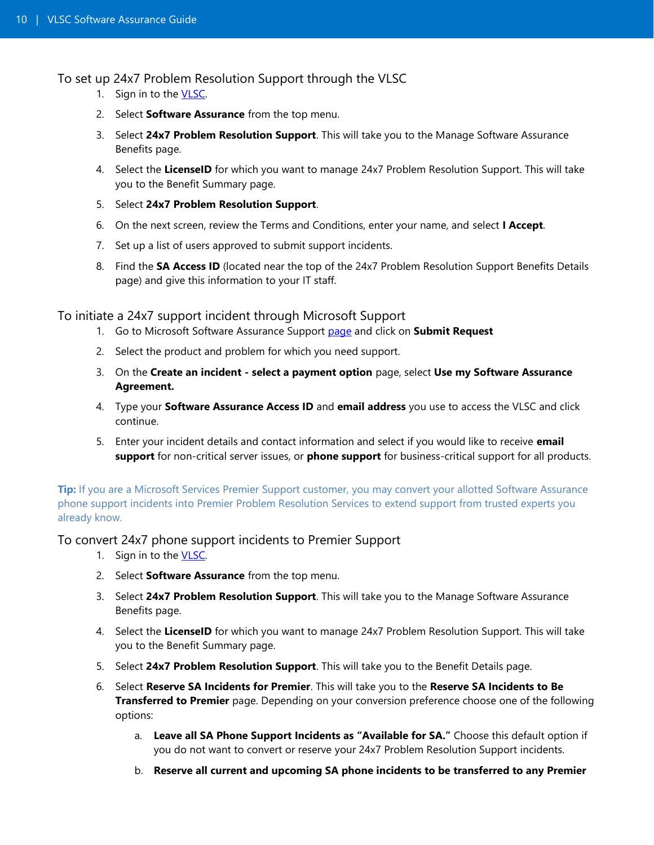#### To set up 24x7 Problem Resolution Support through the VLSC

- 1. Sign in to the **VLSC**.
- 2. Select **Software Assurance** from the top menu.
- 3. Select **24x7 Problem Resolution Support**. This will take you to the Manage Software Assurance Benefits page.
- 4. Select the **LicenseID** for which you want to manage 24x7 Problem Resolution Support. This will take you to the Benefit Summary page.
- 5. Select **24x7 Problem Resolution Support**.
- 6. On the next screen, review the Terms and Conditions, enter your name, and select **I Accept**.
- 7. Set up a list of users approved to submit support incidents.
- 8. Find the **SA Access ID** (located near the top of the 24x7 Problem Resolution Support Benefits Details page) and give this information to your IT staff.

#### To initiate a 24x7 support incident through Microsoft Support

- 1. Go to Microsoft Software Assurance Support [page](https://support.microsoft.com/en-us/sasupport) and click on **Submit Request**
- 2. Select the product and problem for which you need support.
- 3. On the **Create an incident - select a payment option** page, select **Use my Software Assurance Agreement.**
- 4. Type your **Software Assurance Access ID** and **email address** you use to access the VLSC and click continue.
- 5. Enter your incident details and contact information and select if you would like to receive **email support** for non-critical server issues, or **phone support** for business-critical support for all products.

**Tip:** If you are a Microsoft Services Premier Support customer, you may convert your allotted Software Assurance phone support incidents into Premier Problem Resolution Services to extend support from trusted experts you already know.

#### To convert 24x7 phone support incidents to Premier Support

- 1. Sign in to the **VLSC**.
- 2. Select **Software Assurance** from the top menu.
- 3. Select **24x7 Problem Resolution Support**. This will take you to the Manage Software Assurance Benefits page.
- 4. Select the **LicenseID** for which you want to manage 24x7 Problem Resolution Support. This will take you to the Benefit Summary page.
- 5. Select **24x7 Problem Resolution Support**. This will take you to the Benefit Details page.
- 6. Select **Reserve SA Incidents for Premier**. This will take you to the **Reserve SA Incidents to Be Transferred to Premier** page. Depending on your conversion preference choose one of the following options:
	- a. **Leave all SA Phone Support Incidents as "Available for SA."** Choose this default option if you do not want to convert or reserve your 24x7 Problem Resolution Support incidents.
	- b. **Reserve all current and upcoming SA phone incidents to be transferred to any Premier**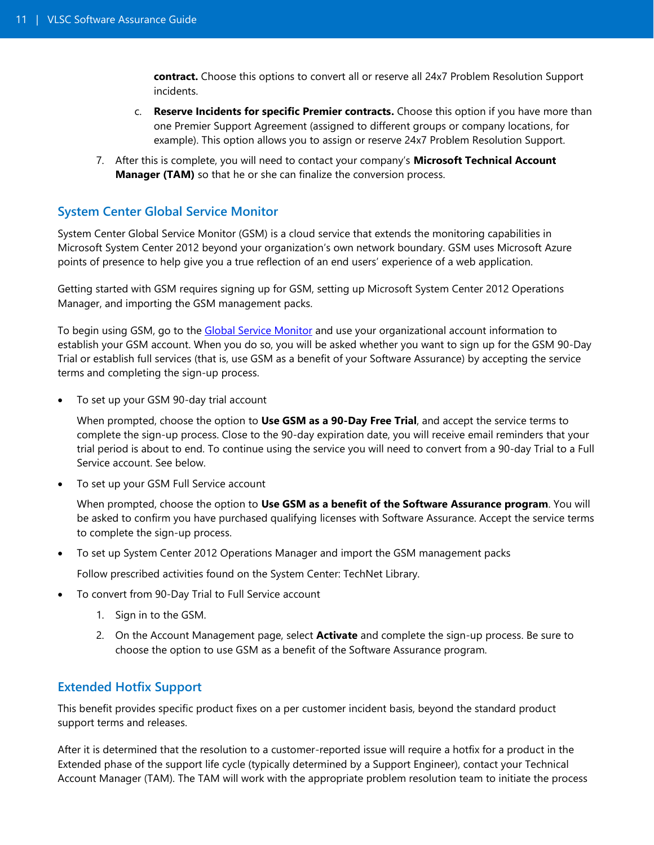**contract.** Choose this options to convert all or reserve all 24x7 Problem Resolution Support incidents.

- c. **Reserve Incidents for specific Premier contracts.** Choose this option if you have more than one Premier Support Agreement (assigned to different groups or company locations, for example). This option allows you to assign or reserve 24x7 Problem Resolution Support.
- 7. After this is complete, you will need to contact your company's **Microsoft Technical Account Manager (TAM)** so that he or she can finalize the conversion process.

## **System Center Global Service Monitor**

System Center Global Service Monitor (GSM) is a cloud service that extends the monitoring capabilities in Microsoft System Center 2012 beyond your organization's own network boundary. GSM uses Microsoft Azure points of presence to help give you a true reflection of an end users' experience of a web application.

Getting started with GSM requires signing up for GSM, setting up Microsoft System Center 2012 Operations Manager, and importing the GSM management packs.

To begin using GSM, go to the [Global Service Monitor](http://www.microsoft.com/en-us/server-cloud/products/system-center-2012-r2-global-service-monitor/) and use your organizational account information to establish your GSM account. When you do so, you will be asked whether you want to sign up for the GSM 90-Day Trial or establish full services (that is, use GSM as a benefit of your Software Assurance) by accepting the service terms and completing the sign-up process.

To set up your GSM 90-day trial account

When prompted, choose the option to **Use GSM as a 90-Day Free Trial**, and accept the service terms to complete the sign-up process. Close to the 90-day expiration date, you will receive email reminders that your trial period is about to end. To continue using the service you will need to convert from a 90-day Trial to a Full Service account. See below.

To set up your GSM Full Service account

When prompted, choose the option to **Use GSM as a benefit of the Software Assurance program**. You will be asked to confirm you have purchased qualifying licenses with Software Assurance. Accept the service terms to complete the sign-up process.

To set up System Center 2012 Operations Manager and import the GSM management packs

Follow prescribed activities found on the System Center: TechNet Library.

- To convert from 90-Day Trial to Full Service account
	- 1. Sign in to the GSM.
	- 2. On the Account Management page, select **Activate** and complete the sign-up process. Be sure to choose the option to use GSM as a benefit of the Software Assurance program.

## **Extended Hotfix Support**

This benefit provides specific product fixes on a per customer incident basis, beyond the standard product support terms and releases.

After it is determined that the resolution to a customer-reported issue will require a hotfix for a product in the Extended phase of the support life cycle (typically determined by a Support Engineer), contact your Technical Account Manager (TAM). The TAM will work with the appropriate problem resolution team to initiate the process